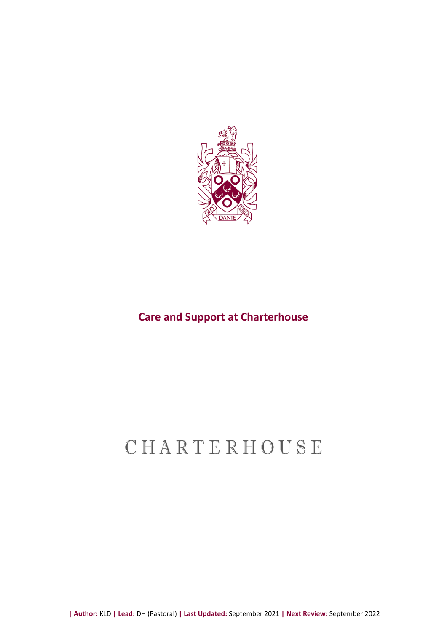

### **Care and Support at Charterhouse**

# CHARTERHOUSE

**| Author:** KLD **| Lead:** DH (Pastoral) **| Last Updated:** September 2021 **| Next Review:** September 2022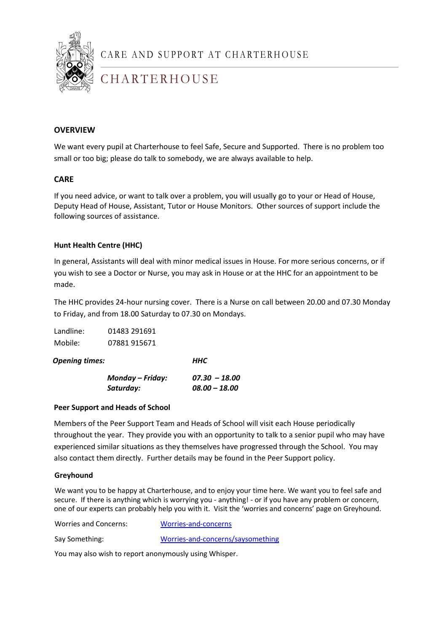

CARE AND SUPPORT AT CHARTERHOUSE

# CHARTERHOUSE

### **OVERVIEW**

We want every pupil at Charterhouse to feel Safe, Secure and Supported. There is no problem too small or too big; please do talk to somebody, we are always available to help.

#### **CARE**

If you need advice, or want to talk over a problem, you will usually go to your or Head of House, Deputy Head of House, Assistant, Tutor or House Monitors. Other sources of support include the following sources of assistance.

#### **Hunt Health Centre (HHC)**

In general, Assistants will deal with minor medical issues in House. For more serious concerns, or if you wish to see a Doctor or Nurse, you may ask in House or at the HHC for an appointment to be made.

The HHC provides 24-hour nursing cover. There is a Nurse on call between 20.00 and 07.30 Monday to Friday, and from 18.00 Saturday to 07.30 on Mondays.

| Landline: | 01483 291691 |
|-----------|--------------|
| Mobile:   | 07881 915671 |

*Opening times: HHC*

| Monday – Friday: | $07.30 - 18.00$ |
|------------------|-----------------|
| Saturday:        | $08.00 - 18.00$ |

#### **Peer Support and Heads of School**

Members of the Peer Support Team and Heads of School will visit each House periodically throughout the year. They provide you with an opportunity to talk to a senior pupil who may have experienced similar situations as they themselves have progressed through the School. You may also contact them directly. Further details may be found in the Peer Support policy.

#### **Greyhound**

We want you to be happy at Charterhouse, and to enjoy your time here. We want you to feel safe and secure. If there is anything which is worrying you - anything! - or if you have any problem or concern, one of our experts can probably help you with it. Visit the 'worries and concerns' page on Greyhound.

Worries and Concerns: [Worries-and-concerns](https://greyhound.charterhouse.org.uk/worries-and-concerns)

Say Something: [Worries-and-concerns/saysomething](https://greyhound.charterhouse.org.uk/worries-and-concerns/saysomething)

You may also wish to report anonymously using Whisper.